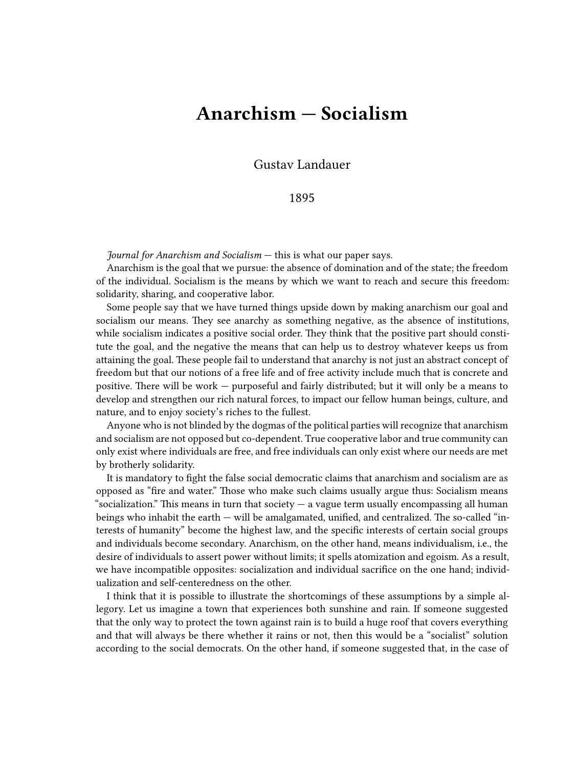## **Anarchism — Socialism**

Gustav Landauer

## 1895

*Journal for Anarchism and Socialism* — this is what our paper says.

Anarchism is the goal that we pursue: the absence of domination and of the state; the freedom of the individual. Socialism is the means by which we want to reach and secure this freedom: solidarity, sharing, and cooperative labor.

Some people say that we have turned things upside down by making anarchism our goal and socialism our means. They see anarchy as something negative, as the absence of institutions, while socialism indicates a positive social order. They think that the positive part should constitute the goal, and the negative the means that can help us to destroy whatever keeps us from attaining the goal. These people fail to understand that anarchy is not just an abstract concept of freedom but that our notions of a free life and of free activity include much that is concrete and positive. There will be work — purposeful and fairly distributed; but it will only be a means to develop and strengthen our rich natural forces, to impact our fellow human beings, culture, and nature, and to enjoy society's riches to the fullest.

Anyone who is not blinded by the dogmas of the political parties will recognize that anarchism and socialism are not opposed but co-dependent. True cooperative labor and true community can only exist where individuals are free, and free individuals can only exist where our needs are met by brotherly solidarity.

It is mandatory to fight the false social democratic claims that anarchism and socialism are as opposed as "fire and water." Those who make such claims usually argue thus: Socialism means "socialization." This means in turn that society — a vague term usually encompassing all human beings who inhabit the earth — will be amalgamated, unified, and centralized. The so-called "interests of humanity" become the highest law, and the specific interests of certain social groups and individuals become secondary. Anarchism, on the other hand, means individualism, i.e., the desire of individuals to assert power without limits; it spells atomization and egoism. As a result, we have incompatible opposites: socialization and individual sacrifice on the one hand; individualization and self-centeredness on the other.

I think that it is possible to illustrate the shortcomings of these assumptions by a simple allegory. Let us imagine a town that experiences both sunshine and rain. If someone suggested that the only way to protect the town against rain is to build a huge roof that covers everything and that will always be there whether it rains or not, then this would be a "socialist" solution according to the social democrats. On the other hand, if someone suggested that, in the case of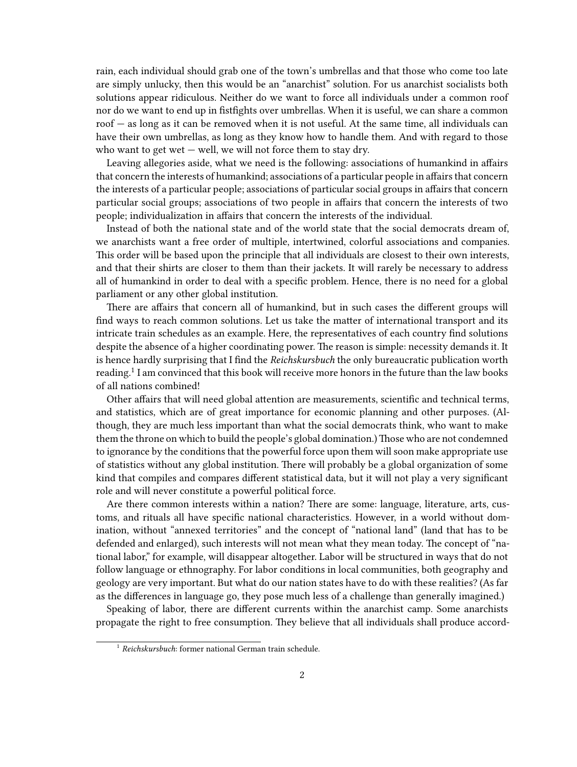rain, each individual should grab one of the town's umbrellas and that those who come too late are simply unlucky, then this would be an "anarchist" solution. For us anarchist socialists both solutions appear ridiculous. Neither do we want to force all individuals under a common roof nor do we want to end up in fistfights over umbrellas. When it is useful, we can share a common roof — as long as it can be removed when it is not useful. At the same time, all individuals can have their own umbrellas, as long as they know how to handle them. And with regard to those who want to get wet  $-$  well, we will not force them to stay dry.

Leaving allegories aside, what we need is the following: associations of humankind in affairs that concern the interests of humankind; associations of a particular people in affairs that concern the interests of a particular people; associations of particular social groups in affairs that concern particular social groups; associations of two people in affairs that concern the interests of two people; individualization in affairs that concern the interests of the individual.

Instead of both the national state and of the world state that the social democrats dream of, we anarchists want a free order of multiple, intertwined, colorful associations and companies. This order will be based upon the principle that all individuals are closest to their own interests, and that their shirts are closer to them than their jackets. It will rarely be necessary to address all of humankind in order to deal with a specific problem. Hence, there is no need for a global parliament or any other global institution.

There are affairs that concern all of humankind, but in such cases the different groups will find ways to reach common solutions. Let us take the matter of international transport and its intricate train schedules as an example. Here, the representatives of each country find solutions despite the absence of a higher coordinating power. The reason is simple: necessity demands it. It is hence hardly surprising that I find the *Reichskursbuch* the only bureaucratic publication worth reading.<sup>1</sup> I am convinced that this book will receive more honors in the future than the law books of all nations combined!

Other affairs that will need global attention are measurements, scientific and technical terms, and statistics, which are of great importance for economic planning and other purposes. (Although, they are much less important than what the social democrats think, who want to make them the throne on which to build the people's global domination.)Those who are not condemned to ignorance by the conditions that the powerful force upon them will soon make appropriate use of statistics without any global institution. There will probably be a global organization of some kind that compiles and compares different statistical data, but it will not play a very significant role and will never constitute a powerful political force.

Are there common interests within a nation? There are some: language, literature, arts, customs, and rituals all have specific national characteristics. However, in a world without domination, without "annexed territories" and the concept of "national land" (land that has to be defended and enlarged), such interests will not mean what they mean today. The concept of "national labor," for example, will disappear altogether. Labor will be structured in ways that do not follow language or ethnography. For labor conditions in local communities, both geography and geology are very important. But what do our nation states have to do with these realities? (As far as the differences in language go, they pose much less of a challenge than generally imagined.)

Speaking of labor, there are different currents within the anarchist camp. Some anarchists propagate the right to free consumption. They believe that all individuals shall produce accord-

<sup>&</sup>lt;sup>1</sup> Reichskursbuch: former national German train schedule.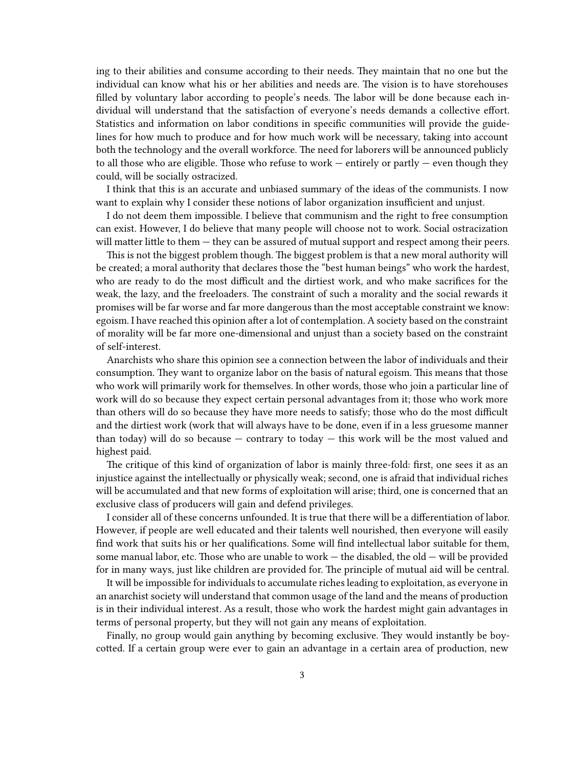ing to their abilities and consume according to their needs. They maintain that no one but the individual can know what his or her abilities and needs are. The vision is to have storehouses filled by voluntary labor according to people's needs. The labor will be done because each individual will understand that the satisfaction of everyone's needs demands a collective effort. Statistics and information on labor conditions in specific communities will provide the guidelines for how much to produce and for how much work will be necessary, taking into account both the technology and the overall workforce. The need for laborers will be announced publicly to all those who are eligible. Those who refuse to work  $-$  entirely or partly  $-$  even though they could, will be socially ostracized.

I think that this is an accurate and unbiased summary of the ideas of the communists. I now want to explain why I consider these notions of labor organization insufficient and unjust.

I do not deem them impossible. I believe that communism and the right to free consumption can exist. However, I do believe that many people will choose not to work. Social ostracization will matter little to them — they can be assured of mutual support and respect among their peers.

This is not the biggest problem though. The biggest problem is that a new moral authority will be created; a moral authority that declares those the "best human beings" who work the hardest, who are ready to do the most difficult and the dirtiest work, and who make sacrifices for the weak, the lazy, and the freeloaders. The constraint of such a morality and the social rewards it promises will be far worse and far more dangerous than the most acceptable constraint we know: egoism. I have reached this opinion after a lot of contemplation. A society based on the constraint of morality will be far more one-dimensional and unjust than a society based on the constraint of self-interest.

Anarchists who share this opinion see a connection between the labor of individuals and their consumption. They want to organize labor on the basis of natural egoism. This means that those who work will primarily work for themselves. In other words, those who join a particular line of work will do so because they expect certain personal advantages from it; those who work more than others will do so because they have more needs to satisfy; those who do the most difficult and the dirtiest work (work that will always have to be done, even if in a less gruesome manner than today) will do so because  $-$  contrary to today  $-$  this work will be the most valued and highest paid.

The critique of this kind of organization of labor is mainly three-fold: first, one sees it as an injustice against the intellectually or physically weak; second, one is afraid that individual riches will be accumulated and that new forms of exploitation will arise; third, one is concerned that an exclusive class of producers will gain and defend privileges.

I consider all of these concerns unfounded. It is true that there will be a differentiation of labor. However, if people are well educated and their talents well nourished, then everyone will easily find work that suits his or her qualifications. Some will find intellectual labor suitable for them, some manual labor, etc. Those who are unable to work  $-$  the disabled, the old  $-$  will be provided for in many ways, just like children are provided for. The principle of mutual aid will be central.

It will be impossible for individuals to accumulate riches leading to exploitation, as everyone in an anarchist society will understand that common usage of the land and the means of production is in their individual interest. As a result, those who work the hardest might gain advantages in terms of personal property, but they will not gain any means of exploitation.

Finally, no group would gain anything by becoming exclusive. They would instantly be boycotted. If a certain group were ever to gain an advantage in a certain area of production, new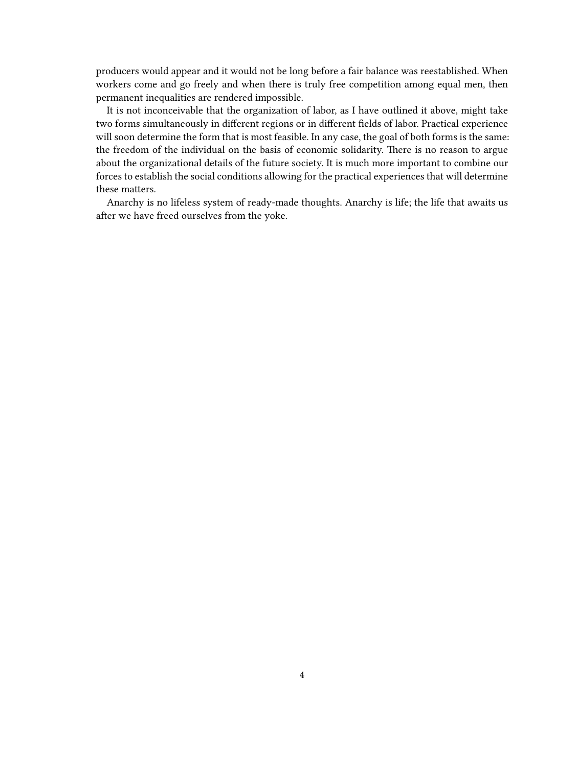producers would appear and it would not be long before a fair balance was reestablished. When workers come and go freely and when there is truly free competition among equal men, then permanent inequalities are rendered impossible.

It is not inconceivable that the organization of labor, as I have outlined it above, might take two forms simultaneously in different regions or in different fields of labor. Practical experience will soon determine the form that is most feasible. In any case, the goal of both forms is the same: the freedom of the individual on the basis of economic solidarity. There is no reason to argue about the organizational details of the future society. It is much more important to combine our forces to establish the social conditions allowing for the practical experiences that will determine these matters.

Anarchy is no lifeless system of ready-made thoughts. Anarchy is life; the life that awaits us after we have freed ourselves from the yoke.